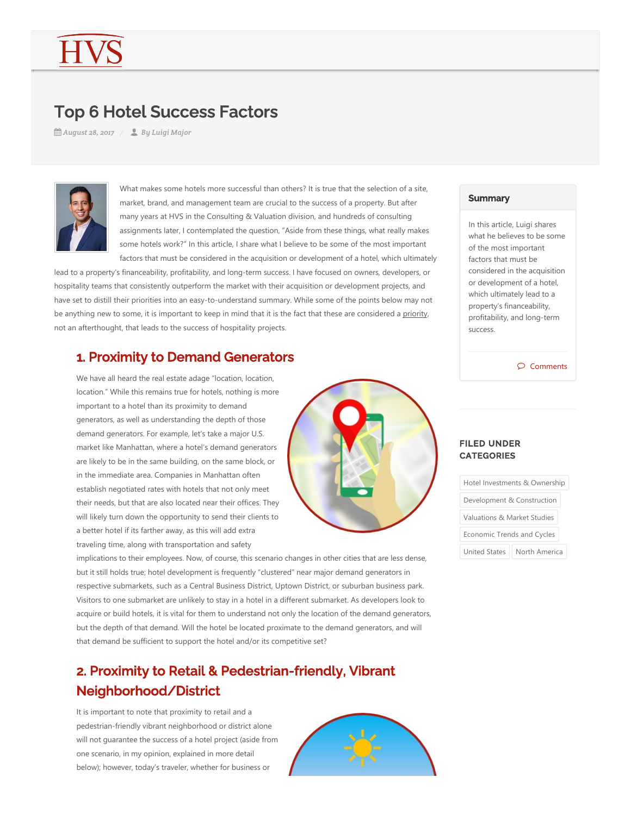# Top 6 Hotel Success Factors

*August 28, 2017 By Luigi Major*



What makes some hotels more successful than others? It is true that the selection of a site, market, brand, and management team are crucial to the success of a property. But after many years at HVS in the Consulting & Valuation division, and hundreds of consulting assignments later, I contemplated the question, "Aside from these things, what really makes some hotels work?" In this article, I share what I believe to be some of the most important factors that must be considered in the acquisition or development of a hotel, which ultimately

lead to a property's financeability, profitability, and long‐term success. I have focused on owners, developers, or hospitality teams that consistently outperform the market with their acquisition or development projects, and have set to distill their priorities into an easy-to-understand summary. While some of the points below may not be anything new to some, it is important to keep in mind that it is the fact that these are considered a priority, not an afterthought, that leads to the success of hospitality projects.

## 1. Proximity to Demand Generators

We have all heard the real estate adage "location, location, location." While this remains true for hotels, nothing is more important to a hotel than its proximity to demand generators, as well as understanding the depth of those demand generators. For example, let's take a major U.S. market like Manhattan, where a hotel's demand generators are likely to be in the same building, on the same block, or in the immediate area. Companies in Manhattan often establish negotiated rates with hotels that not only meet their needs, but that are also located near their offices. They will likely turn down the opportunity to send their clients to a better hotel if its farther away, as this will add extra traveling time, along with transportation and safety



implications to their employees. Now, of course, this scenario changes in other cities that are less dense, but it still holds true; hotel development is frequently "clustered" near major demand generators in respective submarkets, such as a Central Business District, Uptown District, or suburban business park. Visitors to one submarket are unlikely to stay in a hotel in a different submarket. As developers look to acquire or build hotels, it is vital for them to understand not only the location of the demand generators, but the depth of that demand. Will the hotel be located proximate to the demand generators, and will that demand be sufficient to support the hotel and/or its competitive set?

# 2. Proximity to Retail & Pedestrian-friendly, Vibrant Neighborhood/District

It is important to note that proximity to retail and a pedestrian‐friendly vibrant neighborhood or district alone will not guarantee the success of a hotel project (aside from one scenario, in my opinion, explained in more detail below); however, today's traveler, whether for business or



#### **Summary**

In this article, Luigi shares what he believes to be some of the most important factors that must be considered in the acquisition or development of a hotel, which ultimately lead to a property's financeability, profitability, and long‐term success.

#### $\circledcirc$  Comments

### FILED UNDER **CATEGORIES**

| Hotel Investments & Ownership |               |
|-------------------------------|---------------|
| Development & Construction    |               |
| Valuations & Market Studies   |               |
| Economic Trends and Cycles    |               |
| <b>United States</b>          | North America |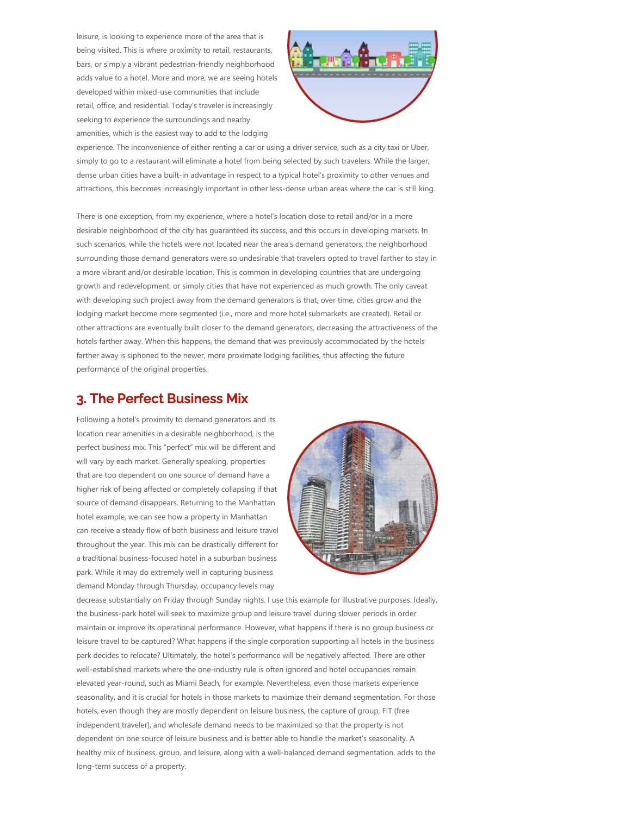leisure, is looking to experience more of the area that is being visited. This is where proximity to retail, restaurants, bars, or simply a vibrant pedestrian‐friendly neighborhood adds value to a hotel. More and more, we are seeing hotels developed within mixed‐use communities that include retail, office, and residential. Today's traveler is increasingly seeking to experience the surroundings and nearby amenities, which is the easiest way to add to the lodging



experience. The inconvenience of either renting a car or using a driver service, such as a city taxi or Uber, simply to go to a restaurant will eliminate a hotel from being selected by such travelers. While the larger, dense urban cities have a built-in advantage in respect to a typical hotel's proximity to other venues and attractions, this becomes increasingly important in other less-dense urban areas where the car is still king.

There is one exception, from my experience, where a hotel's location close to retail and/or in a more desirable neighborhood of the city has guaranteed its success, and this occurs in developing markets. In such scenarios, while the hotels were not located near the area's demand generators, the neighborhood surrounding those demand generators were so undesirable that travelers opted to travel farther to stay in a more vibrant and/or desirable location. This is common in developing countries that are undergoing growth and redevelopment, or simply cities that have not experienced as much growth. The only caveat with developing such project away from the demand generators is that, over time, cities grow and the lodging market become more segmented (i.e., more and more hotel submarkets are created). Retail or other attractions are eventually built closer to the demand generators, decreasing the attractiveness of the hotels farther away. When this happens, the demand that was previously accommodated by the hotels farther away is siphoned to the newer, more proximate lodging facilities, thus affecting the future performance of the original properties.

### 3. The Perfect Business Mix

Following a hotel's proximity to demand generators and its location near amenities in a desirable neighborhood, is the perfect business mix. This "perfect" mix will be different and will vary by each market. Generally speaking, properties that are too dependent on one source of demand have a higher risk of being affected or completely collapsing if that source of demand disappears. Returning to the Manhattan hotel example, we can see how a property in Manhattan can receive a steady flow of both business and leisure travel throughout the year. This mix can be drastically different for a traditional business‐focused hotel in a suburban business park. While it may do extremely well in capturing business demand Monday through Thursday, occupancy levels may



decrease substantially on Friday through Sunday nights. I use this example for illustrative purposes. Ideally, the business‐park hotel will seek to maximize group and leisure travel during slower periods in order maintain or improve its operational performance. However, what happens if there is no group business or leisure travel to be captured? What happens if the single corporation supporting all hotels in the business park decides to relocate? Ultimately, the hotel's performance will be negatively affected. There are other well‐established markets where the one‐industry rule is often ignored and hotel occupancies remain elevated year‐round, such as Miami Beach, for example. Nevertheless, even those markets experience seasonality, and it is crucial for hotels in those markets to maximize their demand segmentation. For those hotels, even though they are mostly dependent on leisure business, the capture of group, FIT (free independent traveler), and wholesale demand needs to be maximized so that the property is not dependent on one source of leisure business and is better able to handle the market's seasonality. A healthy mix of business, group, and leisure, along with a well‐balanced demand segmentation, adds to the long‐term success of a property.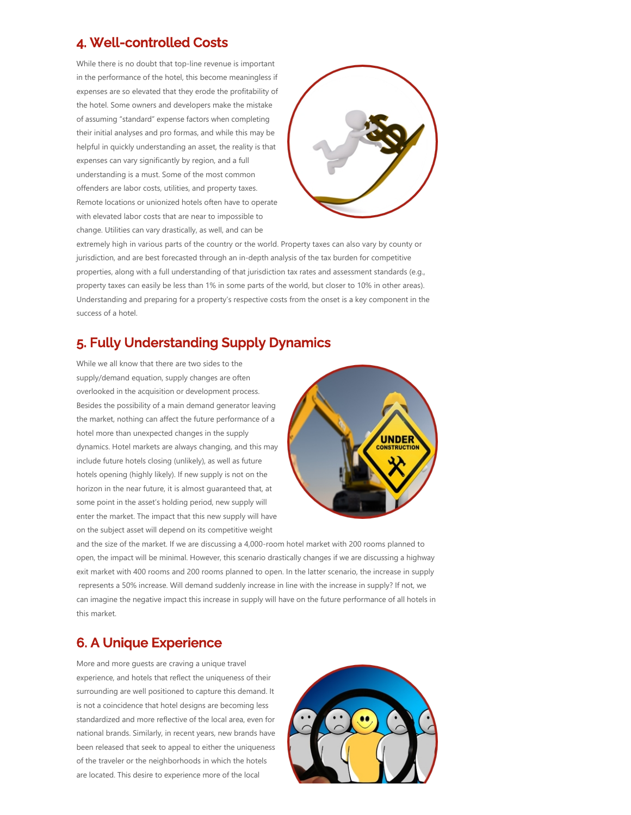### 4. Well-controlled Costs

While there is no doubt that top-line revenue is important in the performance of the hotel, this become meaningless if expenses are so elevated that they erode the profitability of the hotel. Some owners and developers make the mistake of assuming "standard" expense factors when completing their initial analyses and pro formas, and while this may be helpful in quickly understanding an asset, the reality is that expenses can vary significantly by region, and a full understanding is a must. Some of the most common offenders are labor costs, utilities, and property taxes. Remote locations or unionized hotels often have to operate with elevated labor costs that are near to impossible to change. Utilities can vary drastically, as well, and can be



extremely high in various parts of the country or the world. Property taxes can also vary by county or jurisdiction, and are best forecasted through an in‐depth analysis of the tax burden for competitive properties, along with a full understanding of that jurisdiction tax rates and assessment standards (e.g., property taxes can easily be less than 1% in some parts of the world, but closer to 10% in other areas). Understanding and preparing for a property's respective costs from the onset is a key component in the success of a hotel.

# 5. Fully Understanding Supply Dynamics

While we all know that there are two sides to the supply/demand equation, supply changes are often overlooked in the acquisition or development process. Besides the possibility of a main demand generator leaving the market, nothing can affect the future performance of a hotel more than unexpected changes in the supply dynamics. Hotel markets are always changing, and this may include future hotels closing (unlikely), as well as future hotels opening (highly likely). If new supply is not on the horizon in the near future, it is almost guaranteed that, at some point in the asset's holding period, new supply will enter the market. The impact that this new supply will have on the subject asset will depend on its competitive weight



and the size of the market. If we are discussing a 4,000‐room hotel market with 200 rooms planned to open, the impact will be minimal. However, this scenario drastically changes if we are discussing a highway exit market with 400 rooms and 200 rooms planned to open. In the latter scenario, the increase in supply represents a 50% increase. Will demand suddenly increase in line with the increase in supply? If not, we can imagine the negative impact this increase in supply will have on the future performance of all hotels in this market.

# 6. A Unique Experience

More and more guests are craving a unique travel experience, and hotels that reflect the uniqueness of their surrounding are well positioned to capture this demand. It is not a coincidence that hotel designs are becoming less standardized and more reflective of the local area, even for national brands. Similarly, in recent years, new brands have been released that seek to appeal to either the uniqueness of the traveler or the neighborhoods in which the hotels are located. This desire to experience more of the local